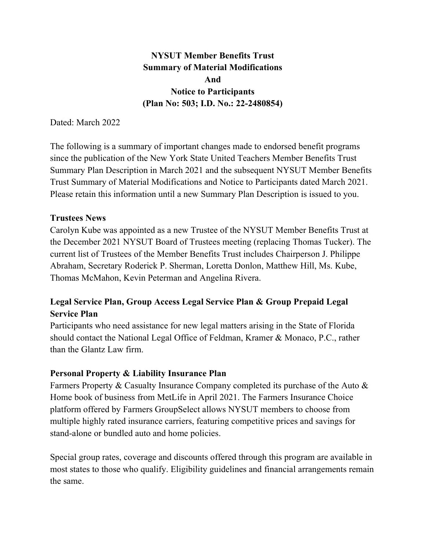NYSUT Member Benefits Trust Summary of Material Modifications And Notice to Participants (Plan No: 503; I.D. No.: 22-2480854)

Dated: March 2022

The following is a summary of important changes made to endorsed benefit programs since the publication of the New York State United Teachers Member Benefits Trust Summary Plan Description in March 2021 and the subsequent NYSUT Member Benefits Trust Summary of Material Modifications and Notice to Participants dated March 2021. Please retain this information until a new Summary Plan Description is issued to you.

## Trustees News

Carolyn Kube was appointed as a new Trustee of the NYSUT Member Benefits Trust at the December 2021 NYSUT Board of Trustees meeting (replacing Thomas Tucker). The current list of Trustees of the Member Benefits Trust includes Chairperson J. Philippe Abraham, Secretary Roderick P. Sherman, Loretta Donlon, Matthew Hill, Ms. Kube, Thomas McMahon, Kevin Peterman and Angelina Rivera.

## Legal Service Plan, Group Access Legal Service Plan & Group Prepaid Legal Service Plan

Participants who need assistance for new legal matters arising in the State of Florida should contact the National Legal Office of Feldman, Kramer & Monaco, P.C., rather than the Glantz Law firm.

## Personal Property & Liability Insurance Plan

Farmers Property & Casualty Insurance Company completed its purchase of the Auto & Home book of business from MetLife in April 2021. The Farmers Insurance Choice platform offered by Farmers GroupSelect allows NYSUT members to choose from multiple highly rated insurance carriers, featuring competitive prices and savings for stand-alone or bundled auto and home policies.

Special group rates, coverage and discounts offered through this program are available in most states to those who qualify. Eligibility guidelines and financial arrangements remain the same.